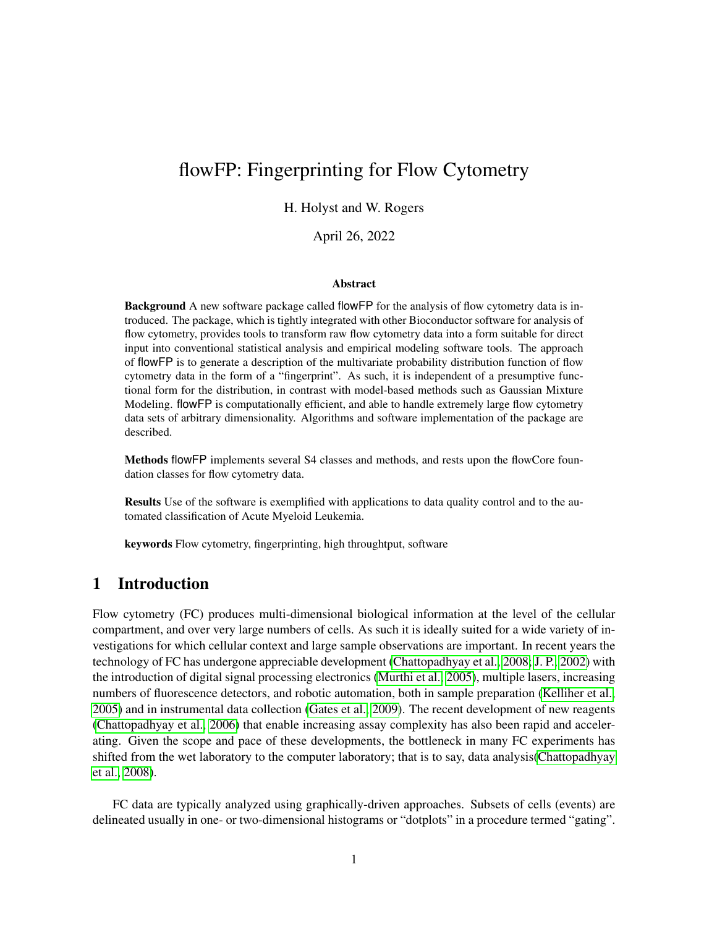## flowFP: Fingerprinting for Flow Cytometry

### H. Holyst and W. Rogers

April 26, 2022

#### Abstract

Background A new software package called flowFP for the analysis of flow cytometry data is introduced. The package, which is tightly integrated with other Bioconductor software for analysis of flow cytometry, provides tools to transform raw flow cytometry data into a form suitable for direct input into conventional statistical analysis and empirical modeling software tools. The approach of flowFP is to generate a description of the multivariate probability distribution function of flow cytometry data in the form of a "fingerprint". As such, it is independent of a presumptive functional form for the distribution, in contrast with model-based methods such as Gaussian Mixture Modeling. flowFP is computationally efficient, and able to handle extremely large flow cytometry data sets of arbitrary dimensionality. Algorithms and software implementation of the package are described.

Methods flowFP implements several S4 classes and methods, and rests upon the flowCore foundation classes for flow cytometry data.

Results Use of the software is exemplified with applications to data quality control and to the automated classification of Acute Myeloid Leukemia.

keywords Flow cytometry, fingerprinting, high throughtput, software

## 1 Introduction

Flow cytometry (FC) produces multi-dimensional biological information at the level of the cellular compartment, and over very large numbers of cells. As such it is ideally suited for a wide variety of investigations for which cellular context and large sample observations are important. In recent years the technology of FC has undergone appreciable development [\(Chattopadhyay et al., 2008;](#page-19-0) [J. P., 2002\)](#page-19-1) with the introduction of digital signal processing electronics [\(Murthi et al., 2005\)](#page-19-2), multiple lasers, increasing numbers of fluorescence detectors, and robotic automation, both in sample preparation [\(Kelliher et al.,](#page-19-3) [2005\)](#page-19-3) and in instrumental data collection [\(Gates et al., 2009\)](#page-19-4). The recent development of new reagents [\(Chattopadhyay et al., 2006\)](#page-19-5) that enable increasing assay complexity has also been rapid and accelerating. Given the scope and pace of these developments, the bottleneck in many FC experiments has shifted from the wet laboratory to the computer laboratory; that is to say, data analysis[\(Chattopadhyay](#page-19-0) [et al., 2008\)](#page-19-0).

FC data are typically analyzed using graphically-driven approaches. Subsets of cells (events) are delineated usually in one- or two-dimensional histograms or "dotplots" in a procedure termed "gating".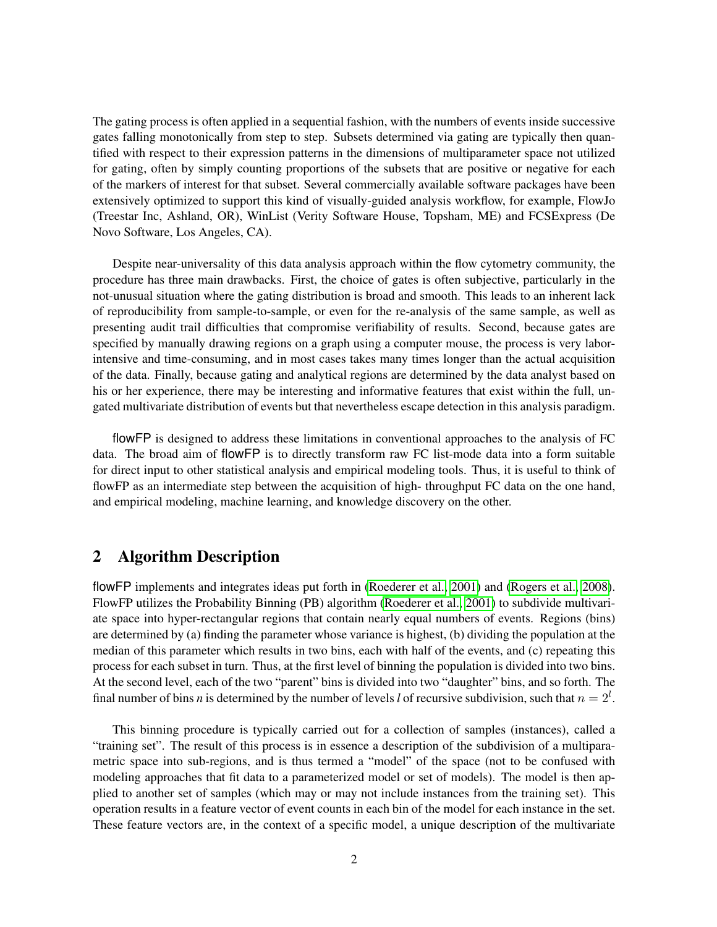The gating process is often applied in a sequential fashion, with the numbers of events inside successive gates falling monotonically from step to step. Subsets determined via gating are typically then quantified with respect to their expression patterns in the dimensions of multiparameter space not utilized for gating, often by simply counting proportions of the subsets that are positive or negative for each of the markers of interest for that subset. Several commercially available software packages have been extensively optimized to support this kind of visually-guided analysis workflow, for example, FlowJo (Treestar Inc, Ashland, OR), WinList (Verity Software House, Topsham, ME) and FCSExpress (De Novo Software, Los Angeles, CA).

Despite near-universality of this data analysis approach within the flow cytometry community, the procedure has three main drawbacks. First, the choice of gates is often subjective, particularly in the not-unusual situation where the gating distribution is broad and smooth. This leads to an inherent lack of reproducibility from sample-to-sample, or even for the re-analysis of the same sample, as well as presenting audit trail difficulties that compromise verifiability of results. Second, because gates are specified by manually drawing regions on a graph using a computer mouse, the process is very laborintensive and time-consuming, and in most cases takes many times longer than the actual acquisition of the data. Finally, because gating and analytical regions are determined by the data analyst based on his or her experience, there may be interesting and informative features that exist within the full, ungated multivariate distribution of events but that nevertheless escape detection in this analysis paradigm.

flowFP is designed to address these limitations in conventional approaches to the analysis of FC data. The broad aim of flowFP is to directly transform raw FC list-mode data into a form suitable for direct input to other statistical analysis and empirical modeling tools. Thus, it is useful to think of flowFP as an intermediate step between the acquisition of high- throughput FC data on the one hand, and empirical modeling, machine learning, and knowledge discovery on the other.

## 2 Algorithm Description

flowFP implements and integrates ideas put forth in [\(Roederer et al., 2001\)](#page-19-6) and [\(Rogers et al., 2008\)](#page-19-7). FlowFP utilizes the Probability Binning (PB) algorithm [\(Roederer et al., 2001\)](#page-19-6) to subdivide multivariate space into hyper-rectangular regions that contain nearly equal numbers of events. Regions (bins) are determined by (a) finding the parameter whose variance is highest, (b) dividing the population at the median of this parameter which results in two bins, each with half of the events, and (c) repeating this process for each subset in turn. Thus, at the first level of binning the population is divided into two bins. At the second level, each of the two "parent" bins is divided into two "daughter" bins, and so forth. The final number of bins *n* is determined by the number of levels *l* of recursive subdivision, such that  $n = 2^l$ .

This binning procedure is typically carried out for a collection of samples (instances), called a "training set". The result of this process is in essence a description of the subdivision of a multiparametric space into sub-regions, and is thus termed a "model" of the space (not to be confused with modeling approaches that fit data to a parameterized model or set of models). The model is then applied to another set of samples (which may or may not include instances from the training set). This operation results in a feature vector of event counts in each bin of the model for each instance in the set. These feature vectors are, in the context of a specific model, a unique description of the multivariate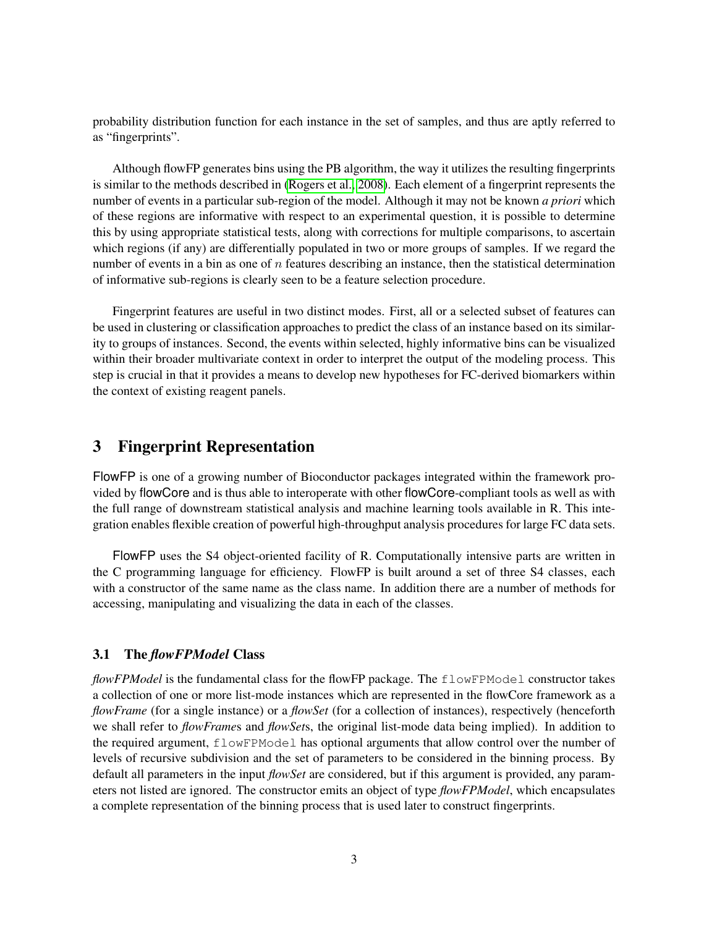probability distribution function for each instance in the set of samples, and thus are aptly referred to as "fingerprints".

Although flowFP generates bins using the PB algorithm, the way it utilizes the resulting fingerprints is similar to the methods described in [\(Rogers et al., 2008\)](#page-19-7). Each element of a fingerprint represents the number of events in a particular sub-region of the model. Although it may not be known *a priori* which of these regions are informative with respect to an experimental question, it is possible to determine this by using appropriate statistical tests, along with corrections for multiple comparisons, to ascertain which regions (if any) are differentially populated in two or more groups of samples. If we regard the number of events in a bin as one of  $n$  features describing an instance, then the statistical determination of informative sub-regions is clearly seen to be a feature selection procedure.

Fingerprint features are useful in two distinct modes. First, all or a selected subset of features can be used in clustering or classification approaches to predict the class of an instance based on its similarity to groups of instances. Second, the events within selected, highly informative bins can be visualized within their broader multivariate context in order to interpret the output of the modeling process. This step is crucial in that it provides a means to develop new hypotheses for FC-derived biomarkers within the context of existing reagent panels.

## 3 Fingerprint Representation

FlowFP is one of a growing number of Bioconductor packages integrated within the framework provided by flowCore and is thus able to interoperate with other flowCore-compliant tools as well as with the full range of downstream statistical analysis and machine learning tools available in R. This integration enables flexible creation of powerful high-throughput analysis procedures for large FC data sets.

FlowFP uses the S4 object-oriented facility of R. Computationally intensive parts are written in the C programming language for efficiency. FlowFP is built around a set of three S4 classes, each with a constructor of the same name as the class name. In addition there are a number of methods for accessing, manipulating and visualizing the data in each of the classes.

### 3.1 The *flowFPModel* Class

*flowFPModel* is the fundamental class for the flowFP package. The flowFPModel constructor takes a collection of one or more list-mode instances which are represented in the flowCore framework as a *flowFrame* (for a single instance) or a *flowSet* (for a collection of instances), respectively (henceforth we shall refer to *flowFrame*s and *flowSet*s, the original list-mode data being implied). In addition to the required argument, flowFPModel has optional arguments that allow control over the number of levels of recursive subdivision and the set of parameters to be considered in the binning process. By default all parameters in the input *flowSet* are considered, but if this argument is provided, any parameters not listed are ignored. The constructor emits an object of type *flowFPModel*, which encapsulates a complete representation of the binning process that is used later to construct fingerprints.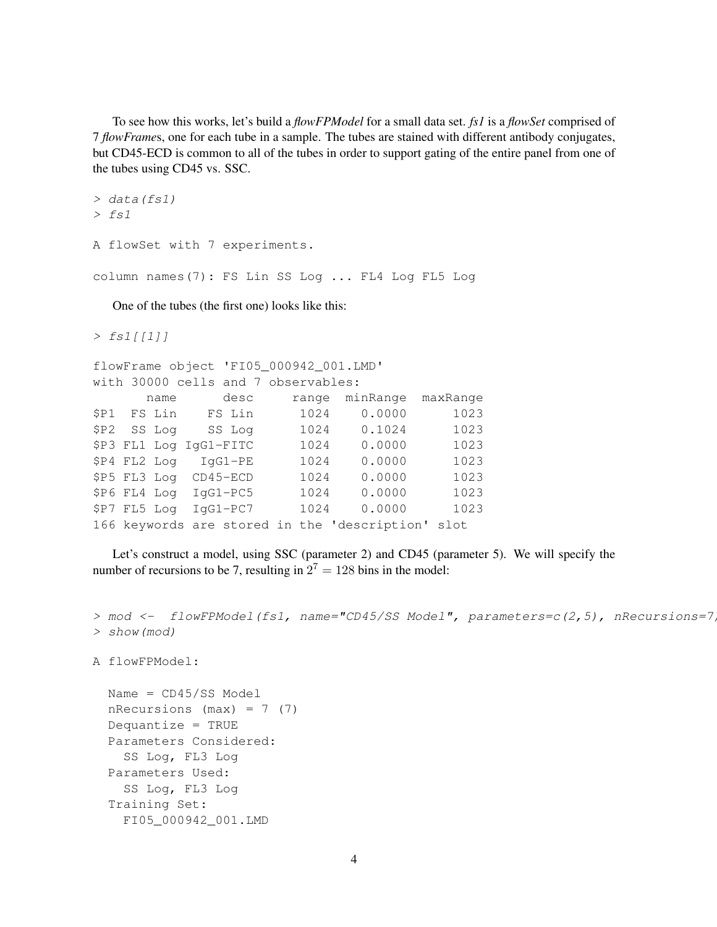To see how this works, let's build a *flowFPModel* for a small data set. *fs1* is a *flowSet* comprised of 7 *flowFrame*s, one for each tube in a sample. The tubes are stained with different antibody conjugates, but CD45-ECD is common to all of the tubes in order to support gating of the entire panel from one of the tubes using CD45 vs. SSC.

```
> data(fs1)
> fs1
A flowSet with 7 experiments.
column names(7): FS Lin SS Log ... FL4 Log FL5 Log
```
One of the tubes (the first one) looks like this:

```
> fs1[11]
```

```
flowFrame object 'FI05_000942_001.LMD'
with 30000 cells and 7 observables:
     name desc range minRange maxRange
$P1 FS Lin FS Lin 1024 0.0000 1023
$P2 SS Log SS Log 1024 0.1024 1023
$P3 FL1 Log IgG1-FITC 1024 0.0000 1023
$P4 FL2 Log IgG1-PE 1024 0.0000 1023
$P5 FL3 Log CD45-ECD 1024 0.0000 1023
$P6 FL4 Log IgG1-PC5 1024 0.0000 1023
$P7 FL5 Log IgG1-PC7 1024 0.0000 1023
166 keywords are stored in the 'description' slot
```
Let's construct a model, using SSC (parameter 2) and CD45 (parameter 5). We will specify the number of recursions to be 7, resulting in  $2^7 = 128$  bins in the model:

```
> mod <- flowFPModel(fs1, name="CD45/SS Model", parameters=c(2,5), nRecursions=7
> show(mod)
```

```
A flowFPModel:
```

```
Name = CD45/SS Model
nRecursions (max) = 7 (7)Dequantize = TRUE
Parameters Considered:
  SS Log, FL3 Log
Parameters Used:
  SS Log, FL3 Log
Training Set:
  FI05_000942_001.LMD
```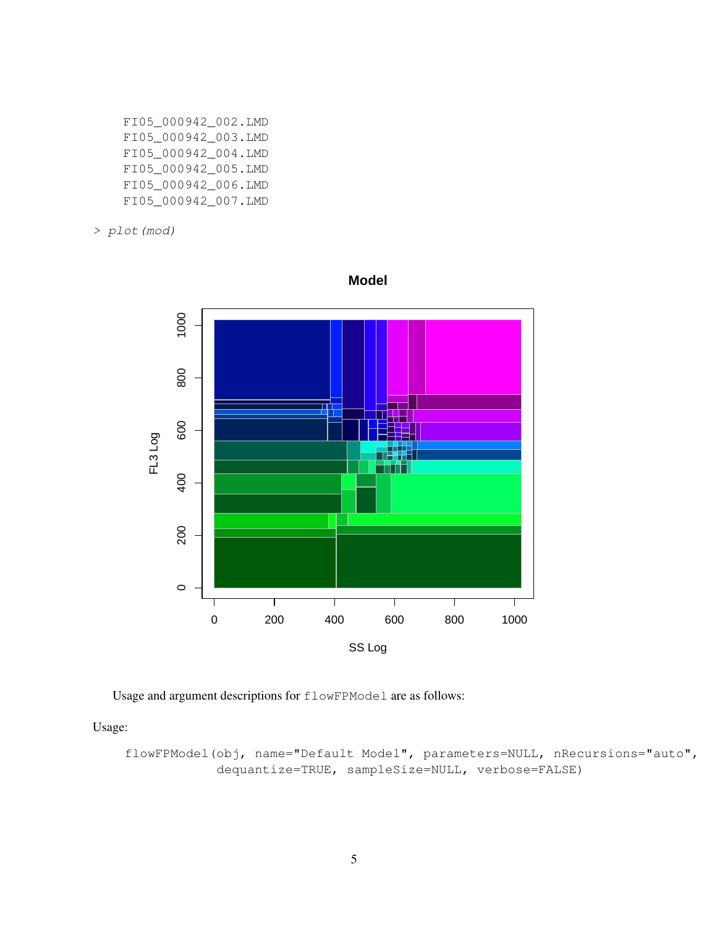- FI05\_000942\_002.LMD FI05\_000942\_003.LMD FI05\_000942\_004.LMD FI05\_000942\_005.LMD FI05\_000942\_006.LMD FI05\_000942\_007.LMD
- > plot(mod)



**Model**

Usage and argument descriptions for flowFPModel are as follows:

Usage:

flowFPModel(obj, name="Default Model", parameters=NULL, nRecursions="auto", dequantize=TRUE, sampleSize=NULL, verbose=FALSE)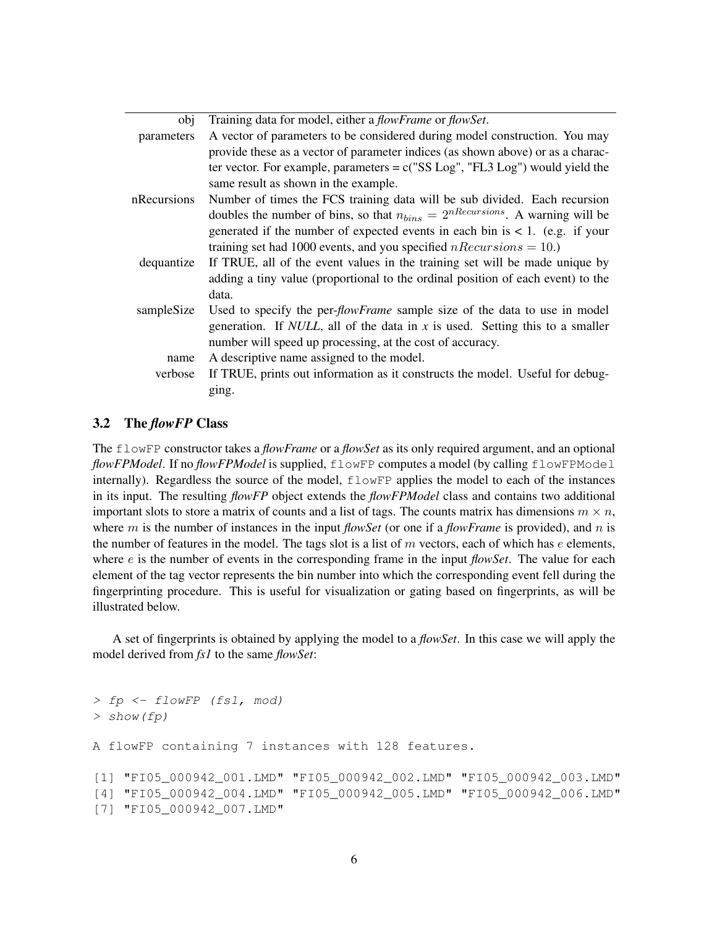| obi         | Training data for model, either a <i>flowFrame</i> or <i>flowSet</i> .                 |
|-------------|----------------------------------------------------------------------------------------|
| parameters  | A vector of parameters to be considered during model construction. You may             |
|             | provide these as a vector of parameter indices (as shown above) or as a charac-        |
|             | ter vector. For example, parameters = $c("SS Log", "FL3 Log")$ would yield the         |
|             | same result as shown in the example.                                                   |
| nRecursions | Number of times the FCS training data will be sub divided. Each recursion              |
|             | doubles the number of bins, so that $n_{bins} = 2^{nRecursions}$ . A warning will be   |
|             | generated if the number of expected events in each bin is $< 1$ . (e.g. if your        |
|             | training set had 1000 events, and you specified $nRecursions = 10$ .)                  |
| dequantize  | If TRUE, all of the event values in the training set will be made unique by            |
|             | adding a tiny value (proportional to the ordinal position of each event) to the        |
|             | data.                                                                                  |
| sampleSize  | Used to specify the per- <i>flowFrame</i> sample size of the data to use in model      |
|             | generation. If <i>NULL</i> , all of the data in $x$ is used. Setting this to a smaller |
|             | number will speed up processing, at the cost of accuracy.                              |
| name        | A descriptive name assigned to the model.                                              |
| verbose     | If TRUE, prints out information as it constructs the model. Useful for debug-          |
|             | ging.                                                                                  |
|             |                                                                                        |

### 3.2 The *flowFP* Class

The flowFP constructor takes a *flowFrame* or a *flowSet* as its only required argument, and an optional *flowFPModel*. If no *flowFPModel* is supplied, flowFP computes a model (by calling flowFPModel internally). Regardless the source of the model, flowFP applies the model to each of the instances in its input. The resulting *flowFP* object extends the *flowFPModel* class and contains two additional important slots to store a matrix of counts and a list of tags. The counts matrix has dimensions  $m \times n$ , where m is the number of instances in the input *flowSet* (or one if a *flowFrame* is provided), and n is the number of features in the model. The tags slot is a list of  $m$  vectors, each of which has  $e$  elements, where e is the number of events in the corresponding frame in the input *flowSet*. The value for each element of the tag vector represents the bin number into which the corresponding event fell during the fingerprinting procedure. This is useful for visualization or gating based on fingerprints, as will be illustrated below.

A set of fingerprints is obtained by applying the model to a *flowSet*. In this case we will apply the model derived from *fs1* to the same *flowSet*:

```
> fp <- flowFP (fs1, mod)
> show(fp)
A flowFP containing 7 instances with 128 features.
[1] "FI05_000942_001.LMD" "FI05_000942_002.LMD" "FI05_000942_003.LMD"
[4] "FI05_000942_004.LMD" "FI05_000942_005.LMD" "FI05_000942_006.LMD"
[7] "FI05_000942_007.LMD"
```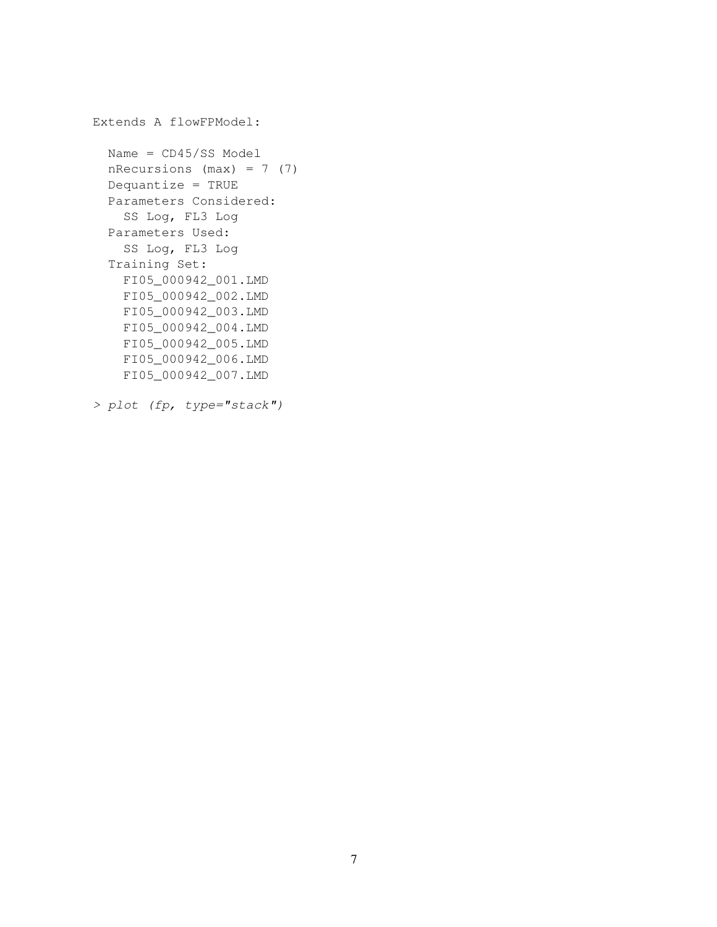```
Extends A flowFPModel:
  Name = CD45/SS Model
 nRecursions (max) = 7 (7)Dequantize = TRUE
  Parameters Considered:
    SS Log, FL3 Log
 Parameters Used:
    SS Log, FL3 Log
  Training Set:
    FI05_000942_001.LMD
    FI05_000942_002.LMD
    FI05_000942_003.LMD
    FI05_000942_004.LMD
   FI05_000942_005.LMD
    FI05_000942_006.LMD
    FI05_000942_007.LMD
```

```
> plot (fp, type="stack")
```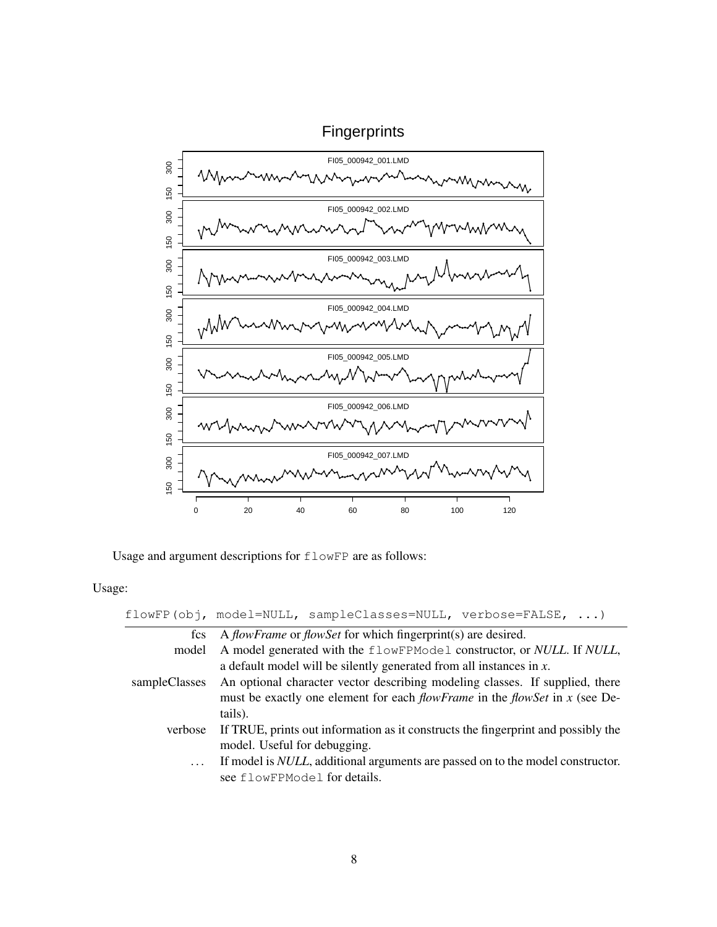

Usage and argument descriptions for flowFP are as follows:

Usage:

|               | $flowFP(obj, model=NULL, sampleClasses=NULL, verbose=False, )$                         |
|---------------|----------------------------------------------------------------------------------------|
| fcs           | A <i>flowFrame</i> or <i>flowSet</i> for which fingerprint(s) are desired.             |
| model         | A model generated with the flowFPModel constructor, or NULL. If NULL,                  |
|               | a default model will be silently generated from all instances in $x$ .                 |
| sampleClasses | An optional character vector describing modeling classes. If supplied, there           |
|               | must be exactly one element for each $flowFrame$ in the $flowSet$ in x (see De-        |
|               | tails).                                                                                |
| verbose       | If TRUE, prints out information as it constructs the fingerprint and possibly the      |
|               | model. Useful for debugging.                                                           |
| $\cdots$      | If model is <i>NULL</i> , additional arguments are passed on to the model constructor. |
|               | see flowFPModel for details.                                                           |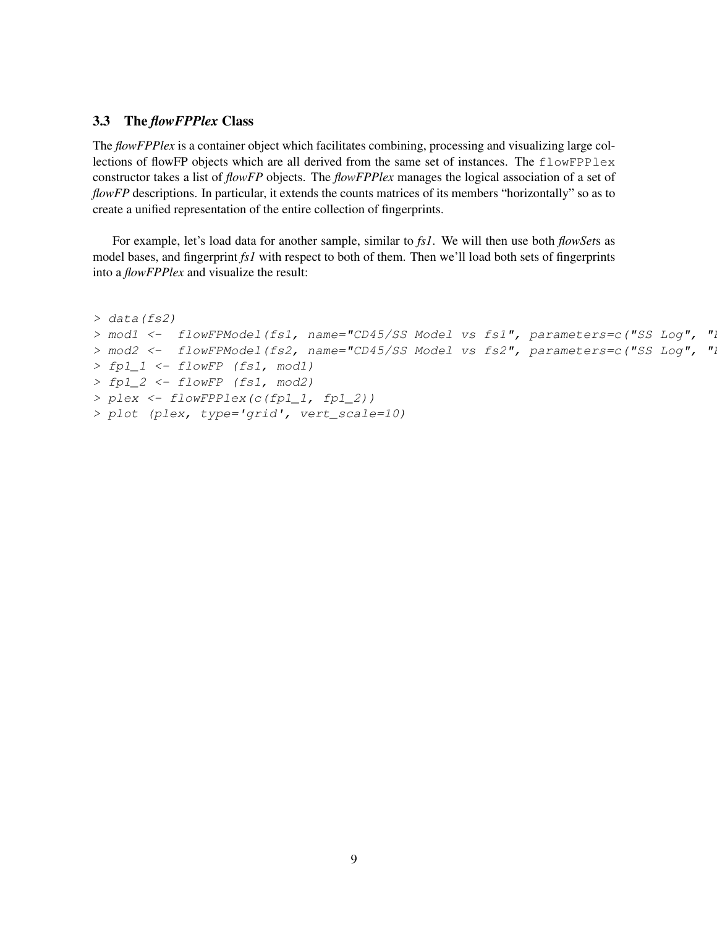### 3.3 The *flowFPPlex* Class

The *flowFPPlex* is a container object which facilitates combining, processing and visualizing large collections of flowFP objects which are all derived from the same set of instances. The flowFPPlex constructor takes a list of *flowFP* objects. The *flowFPPlex* manages the logical association of a set of *flowFP* descriptions. In particular, it extends the counts matrices of its members "horizontally" so as to create a unified representation of the entire collection of fingerprints.

For example, let's load data for another sample, similar to *fs1*. We will then use both *flowSet*s as model bases, and fingerprint *fs1* with respect to both of them. Then we'll load both sets of fingerprints into a *flowFPPlex* and visualize the result:

```
> data(fs2)
> mod1 <- flowFPModel(fs1, name="CD45/SS Model vs fs1", parameters=c("SS Log", "
> mod2 <- flowFPModel(fs2, name="CD45/SS Model vs fs2", parameters=c("SS Log", "
> fp1_1 <- flowFP (fs1, mod1)
> fp1_2 <- flowFP (fs1, mod2)
> plex <- flowFPPlex(c(fp1_1, fp1_2))
> plot (plex, type='grid', vert_scale=10)
```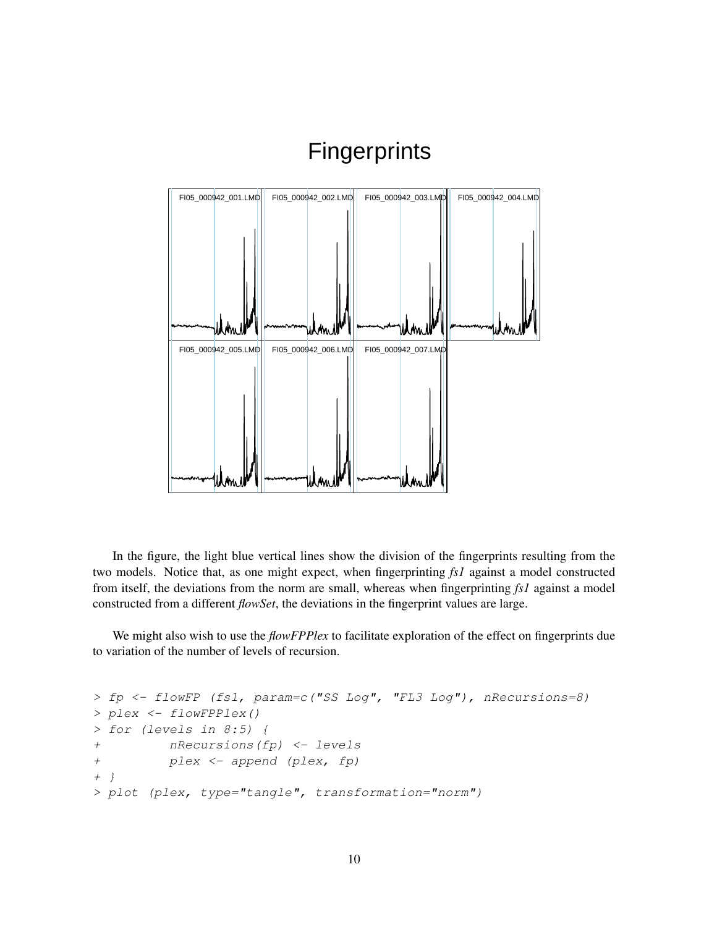

# **Fingerprints**

In the figure, the light blue vertical lines show the division of the fingerprints resulting from the two models. Notice that, as one might expect, when fingerprinting *fs1* against a model constructed from itself, the deviations from the norm are small, whereas when fingerprinting *fs1* against a model constructed from a different *flowSet*, the deviations in the fingerprint values are large.

We might also wish to use the *flowFPPlex* to facilitate exploration of the effect on fingerprints due to variation of the number of levels of recursion.

```
> fp <- flowFP (fs1, param=c("SS Log", "FL3 Log"), nRecursions=8)
> plex <- flowFPPlex()
> for (levels in 8:5) {
+ nRecursions(fp) <- levels
+ plex <- append (plex, fp)
+ }
> plot (plex, type="tangle", transformation="norm")
```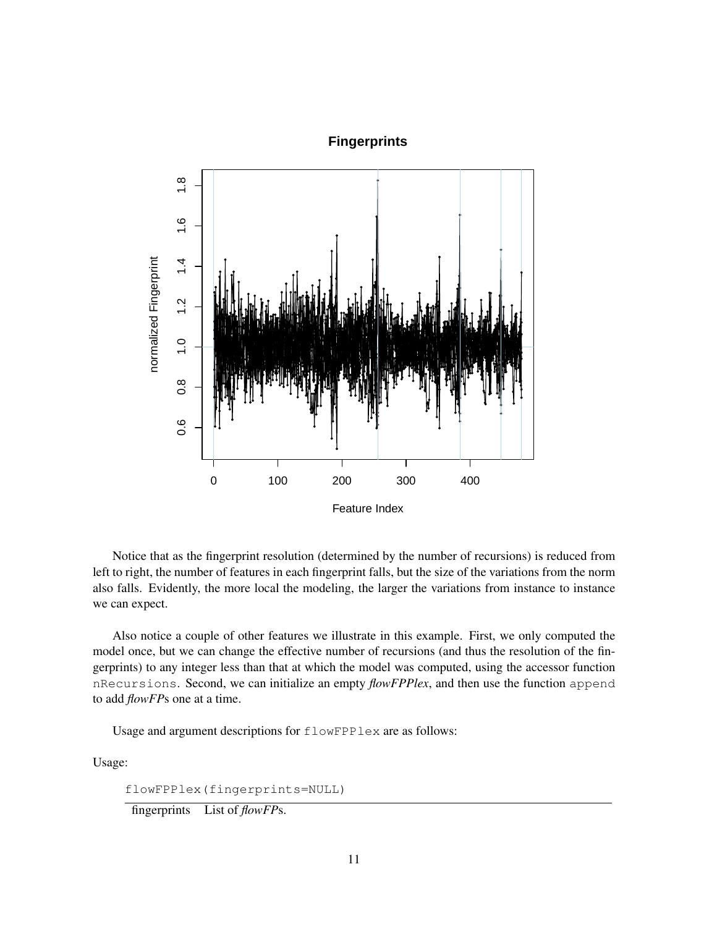### **Fingerprints**



Notice that as the fingerprint resolution (determined by the number of recursions) is reduced from left to right, the number of features in each fingerprint falls, but the size of the variations from the norm also falls. Evidently, the more local the modeling, the larger the variations from instance to instance we can expect.

Also notice a couple of other features we illustrate in this example. First, we only computed the model once, but we can change the effective number of recursions (and thus the resolution of the fingerprints) to any integer less than that at which the model was computed, using the accessor function nRecursions. Second, we can initialize an empty *flowFPPlex*, and then use the function append to add *flowFP*s one at a time.

Usage and argument descriptions for flowFPPlex are as follows:

Usage:

flowFPPlex(fingerprints=NULL)

fingerprints List of *flowFP*s.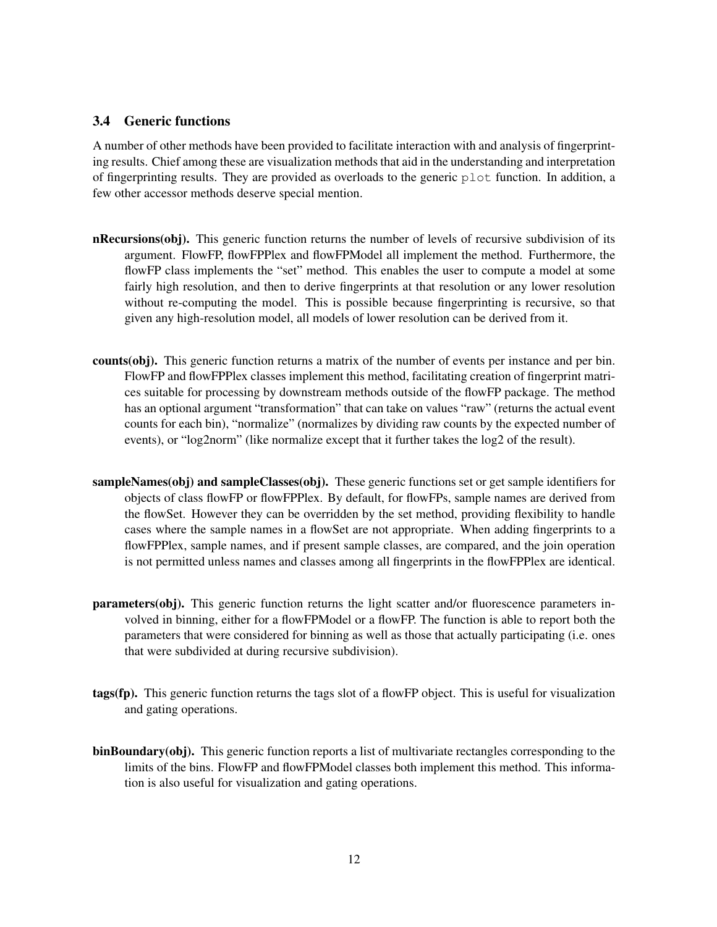### 3.4 Generic functions

A number of other methods have been provided to facilitate interaction with and analysis of fingerprinting results. Chief among these are visualization methods that aid in the understanding and interpretation of fingerprinting results. They are provided as overloads to the generic  $p$  lot function. In addition, a few other accessor methods deserve special mention.

- nRecursions(obj). This generic function returns the number of levels of recursive subdivision of its argument. FlowFP, flowFPPlex and flowFPModel all implement the method. Furthermore, the flowFP class implements the "set" method. This enables the user to compute a model at some fairly high resolution, and then to derive fingerprints at that resolution or any lower resolution without re-computing the model. This is possible because fingerprinting is recursive, so that given any high-resolution model, all models of lower resolution can be derived from it.
- counts(obj). This generic function returns a matrix of the number of events per instance and per bin. FlowFP and flowFPPlex classes implement this method, facilitating creation of fingerprint matrices suitable for processing by downstream methods outside of the flowFP package. The method has an optional argument "transformation" that can take on values "raw" (returns the actual event counts for each bin), "normalize" (normalizes by dividing raw counts by the expected number of events), or "log2norm" (like normalize except that it further takes the log2 of the result).
- sampleNames(obj) and sampleClasses(obj). These generic functions set or get sample identifiers for objects of class flowFP or flowFPPlex. By default, for flowFPs, sample names are derived from the flowSet. However they can be overridden by the set method, providing flexibility to handle cases where the sample names in a flowSet are not appropriate. When adding fingerprints to a flowFPPlex, sample names, and if present sample classes, are compared, and the join operation is not permitted unless names and classes among all fingerprints in the flowFPPlex are identical.
- parameters(obj). This generic function returns the light scatter and/or fluorescence parameters involved in binning, either for a flowFPModel or a flowFP. The function is able to report both the parameters that were considered for binning as well as those that actually participating (i.e. ones that were subdivided at during recursive subdivision).
- tags(fp). This generic function returns the tags slot of a flowFP object. This is useful for visualization and gating operations.
- binBoundary(obj). This generic function reports a list of multivariate rectangles corresponding to the limits of the bins. FlowFP and flowFPModel classes both implement this method. This information is also useful for visualization and gating operations.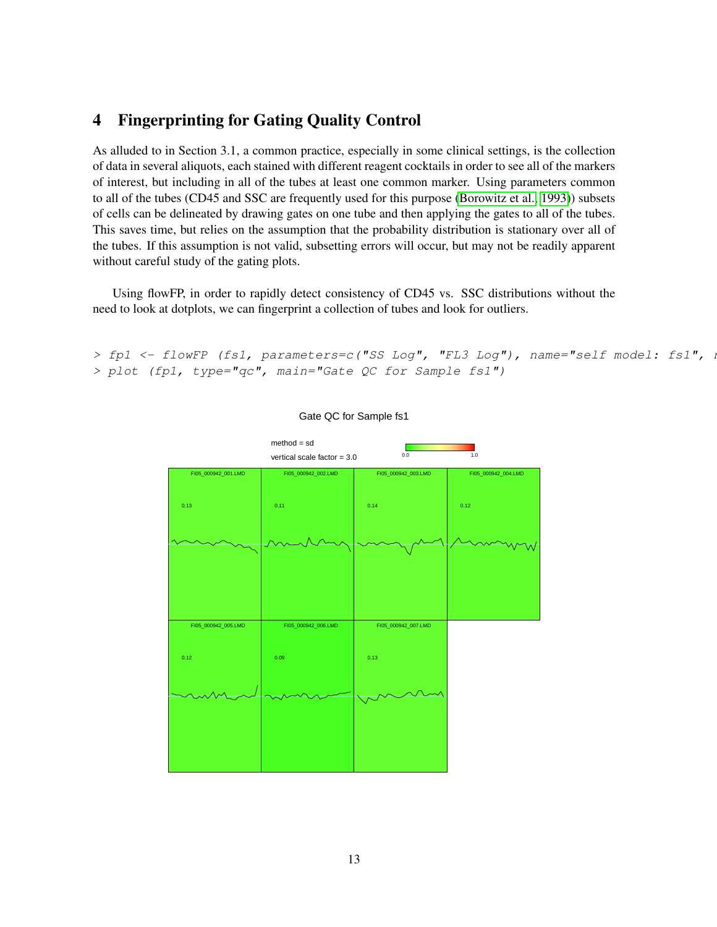## 4 Fingerprinting for Gating Quality Control

As alluded to in Section 3.1, a common practice, especially in some clinical settings, is the collection of data in several aliquots, each stained with different reagent cocktails in order to see all of the markers of interest, but including in all of the tubes at least one common marker. Using parameters common to all of the tubes (CD45 and SSC are frequently used for this purpose [\(Borowitz et al., 1993\)](#page-19-8)) subsets of cells can be delineated by drawing gates on one tube and then applying the gates to all of the tubes. This saves time, but relies on the assumption that the probability distribution is stationary over all of the tubes. If this assumption is not valid, subsetting errors will occur, but may not be readily apparent without careful study of the gating plots.

Using flowFP, in order to rapidly detect consistency of CD45 vs. SSC distributions without the need to look at dotplots, we can fingerprint a collection of tubes and look for outliers.

```
> fp1 <- flowFP (fs1, parameters=c("SS Log", "FL3 Log"), name="self model: fs1", i
> plot (fp1, type="qc", main="Gate QC for Sample fs1")
```


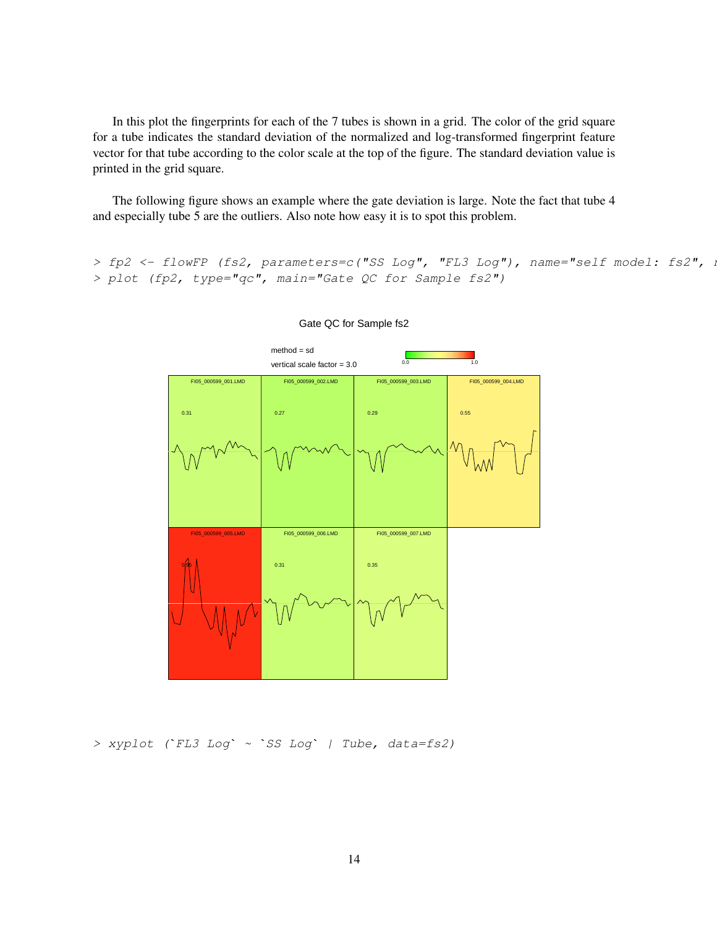In this plot the fingerprints for each of the 7 tubes is shown in a grid. The color of the grid square for a tube indicates the standard deviation of the normalized and log-transformed fingerprint feature vector for that tube according to the color scale at the top of the figure. The standard deviation value is printed in the grid square.

The following figure shows an example where the gate deviation is large. Note the fact that tube 4 and especially tube 5 are the outliers. Also note how easy it is to spot this problem.

> fp2 <- flowFP (fs2, parameters=c("SS Log", "FL3 Log"), name="self model: fs2", i > plot (fp2, type="qc", main="Gate QC for Sample fs2")



Gate QC for Sample fs2

> xyplot (`FL3 Log` <sup>~</sup> `SS Log` | Tube, data=fs2)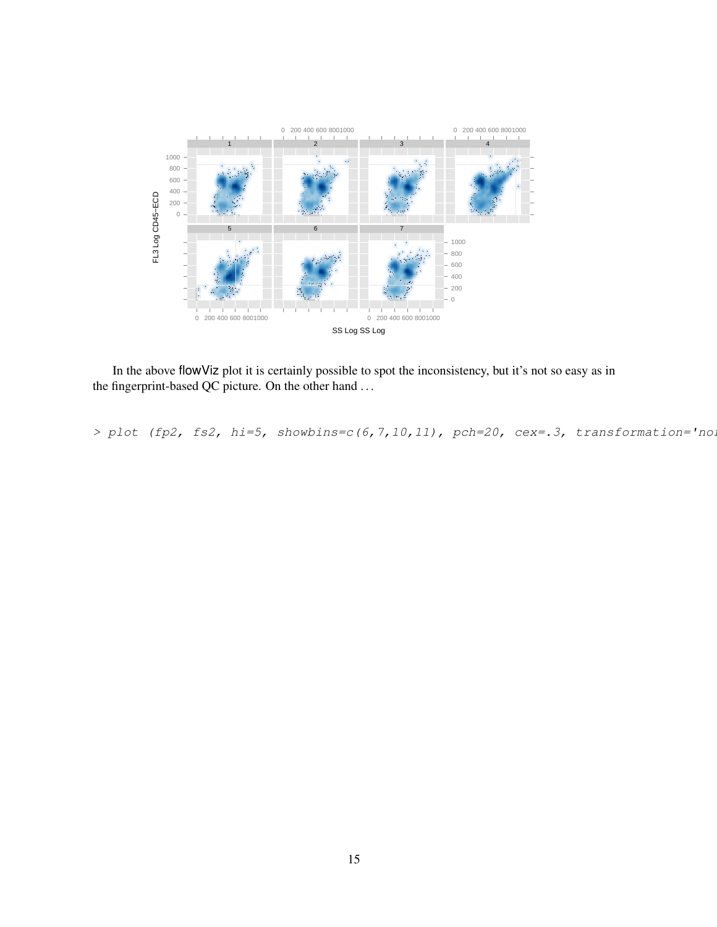

In the above flowViz plot it is certainly possible to spot the inconsistency, but it's not so easy as in the fingerprint-based QC picture. On the other hand ...

> plot (fp2, fs2, hi=5, showbins=c(6,7,10,11), pch=20, cex=.3, transformation='no.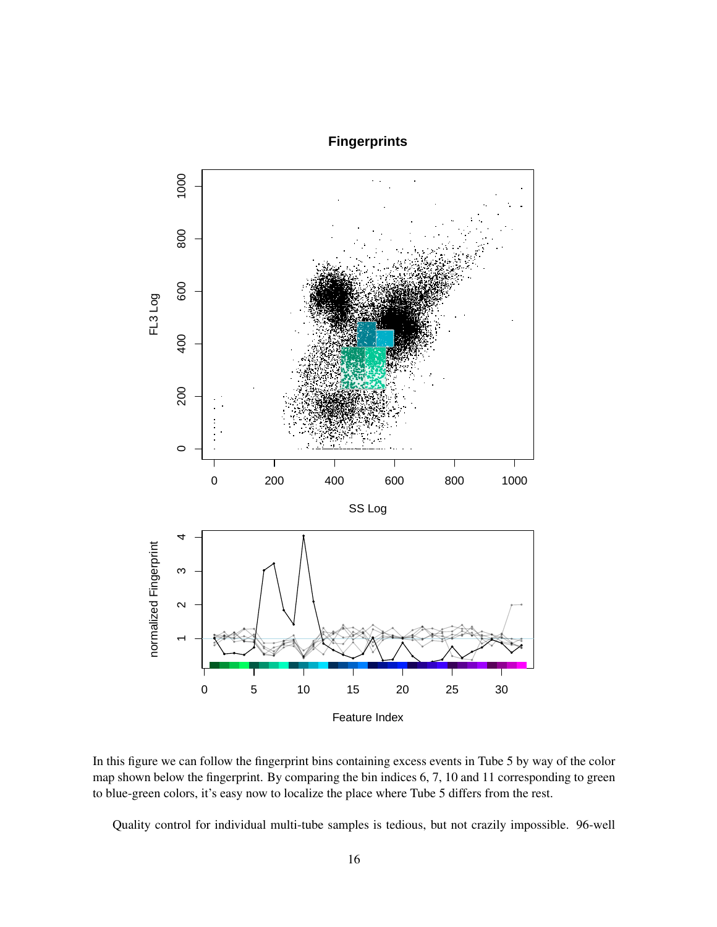## **Fingerprints**



In this figure we can follow the fingerprint bins containing excess events in Tube 5 by way of the color map shown below the fingerprint. By comparing the bin indices 6, 7, 10 and 11 corresponding to green to blue-green colors, it's easy now to localize the place where Tube 5 differs from the rest.

Quality control for individual multi-tube samples is tedious, but not crazily impossible. 96-well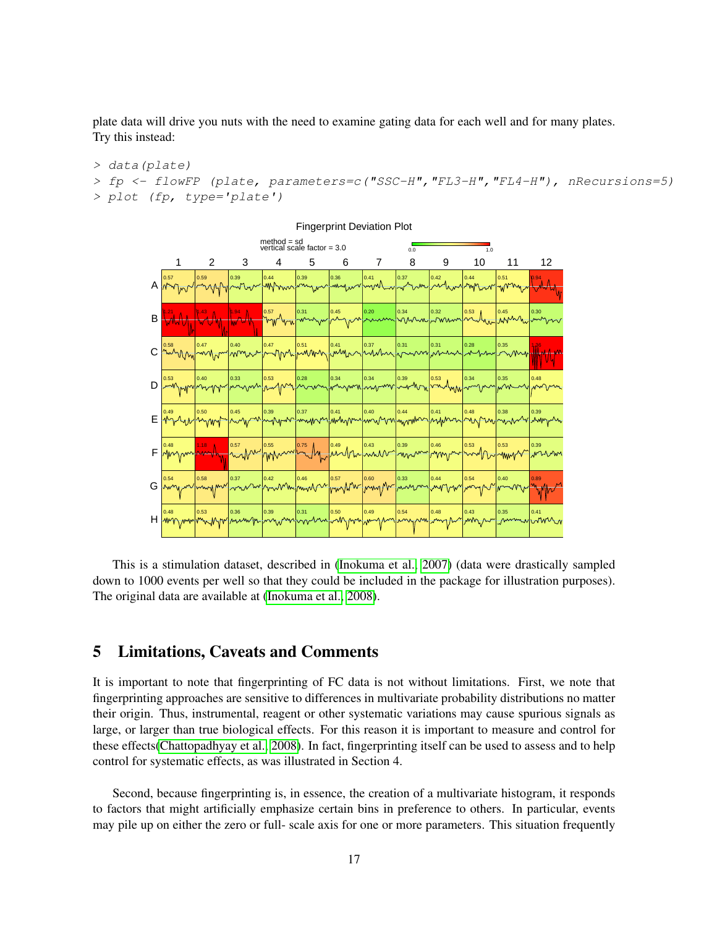plate data will drive you nuts with the need to examine gating data for each well and for many plates. Try this instead:

```
> data(plate)
```

```
> fp <- flowFP (plate, parameters=c("SSC-H","FL3-H","FL4-H"), nRecursions=5)
> plot (fp, type='plate')
```


Fingerprint Deviation Plot

This is a stimulation dataset, described in [\(Inokuma et al., 2007\)](#page-19-9) (data were drastically sampled down to 1000 events per well so that they could be included in the package for illustration purposes). The original data are available at [\(Inokuma et al., 2008\)](#page-19-10).

## 5 Limitations, Caveats and Comments

It is important to note that fingerprinting of FC data is not without limitations. First, we note that fingerprinting approaches are sensitive to differences in multivariate probability distributions no matter their origin. Thus, instrumental, reagent or other systematic variations may cause spurious signals as large, or larger than true biological effects. For this reason it is important to measure and control for these effects[\(Chattopadhyay et al., 2008\)](#page-19-0). In fact, fingerprinting itself can be used to assess and to help control for systematic effects, as was illustrated in Section 4.

Second, because fingerprinting is, in essence, the creation of a multivariate histogram, it responds to factors that might artificially emphasize certain bins in preference to others. In particular, events may pile up on either the zero or full- scale axis for one or more parameters. This situation frequently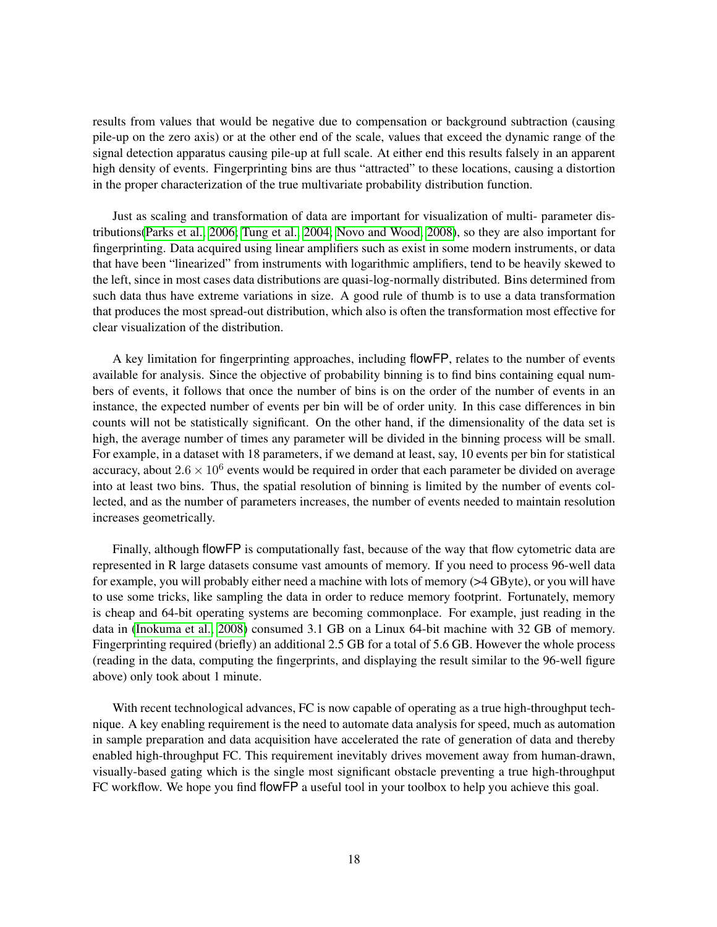results from values that would be negative due to compensation or background subtraction (causing pile-up on the zero axis) or at the other end of the scale, values that exceed the dynamic range of the signal detection apparatus causing pile-up at full scale. At either end this results falsely in an apparent high density of events. Fingerprinting bins are thus "attracted" to these locations, causing a distortion in the proper characterization of the true multivariate probability distribution function.

Just as scaling and transformation of data are important for visualization of multi- parameter distributions[\(Parks et al., 2006;](#page-19-11) [Tung et al., 2004;](#page-20-0) [Novo and Wood, 2008\)](#page-19-12), so they are also important for fingerprinting. Data acquired using linear amplifiers such as exist in some modern instruments, or data that have been "linearized" from instruments with logarithmic amplifiers, tend to be heavily skewed to the left, since in most cases data distributions are quasi-log-normally distributed. Bins determined from such data thus have extreme variations in size. A good rule of thumb is to use a data transformation that produces the most spread-out distribution, which also is often the transformation most effective for clear visualization of the distribution.

A key limitation for fingerprinting approaches, including flowFP, relates to the number of events available for analysis. Since the objective of probability binning is to find bins containing equal numbers of events, it follows that once the number of bins is on the order of the number of events in an instance, the expected number of events per bin will be of order unity. In this case differences in bin counts will not be statistically significant. On the other hand, if the dimensionality of the data set is high, the average number of times any parameter will be divided in the binning process will be small. For example, in a dataset with 18 parameters, if we demand at least, say, 10 events per bin for statistical accuracy, about  $2.6 \times 10^6$  events would be required in order that each parameter be divided on average into at least two bins. Thus, the spatial resolution of binning is limited by the number of events collected, and as the number of parameters increases, the number of events needed to maintain resolution increases geometrically.

Finally, although flowFP is computationally fast, because of the way that flow cytometric data are represented in R large datasets consume vast amounts of memory. If you need to process 96-well data for example, you will probably either need a machine with lots of memory (>4 GByte), or you will have to use some tricks, like sampling the data in order to reduce memory footprint. Fortunately, memory is cheap and 64-bit operating systems are becoming commonplace. For example, just reading in the data in [\(Inokuma et al., 2008\)](#page-19-10) consumed 3.1 GB on a Linux 64-bit machine with 32 GB of memory. Fingerprinting required (briefly) an additional 2.5 GB for a total of 5.6 GB. However the whole process (reading in the data, computing the fingerprints, and displaying the result similar to the 96-well figure above) only took about 1 minute.

With recent technological advances, FC is now capable of operating as a true high-throughput technique. A key enabling requirement is the need to automate data analysis for speed, much as automation in sample preparation and data acquisition have accelerated the rate of generation of data and thereby enabled high-throughput FC. This requirement inevitably drives movement away from human-drawn, visually-based gating which is the single most significant obstacle preventing a true high-throughput FC workflow. We hope you find flowFP a useful tool in your toolbox to help you achieve this goal.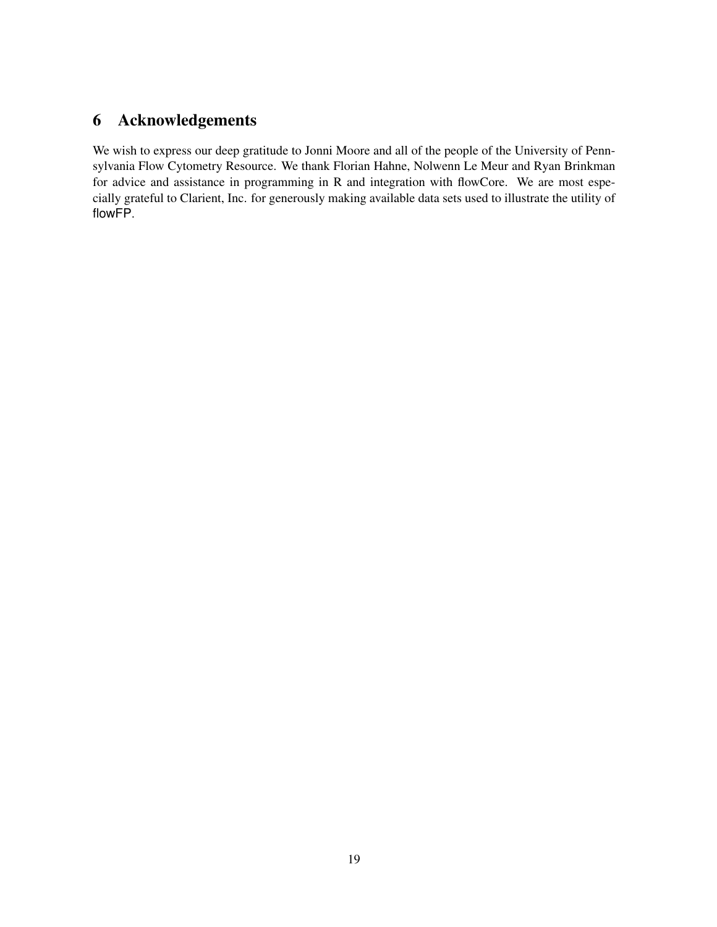## 6 Acknowledgements

We wish to express our deep gratitude to Jonni Moore and all of the people of the University of Pennsylvania Flow Cytometry Resource. We thank Florian Hahne, Nolwenn Le Meur and Ryan Brinkman for advice and assistance in programming in R and integration with flowCore. We are most especially grateful to Clarient, Inc. for generously making available data sets used to illustrate the utility of flowFP.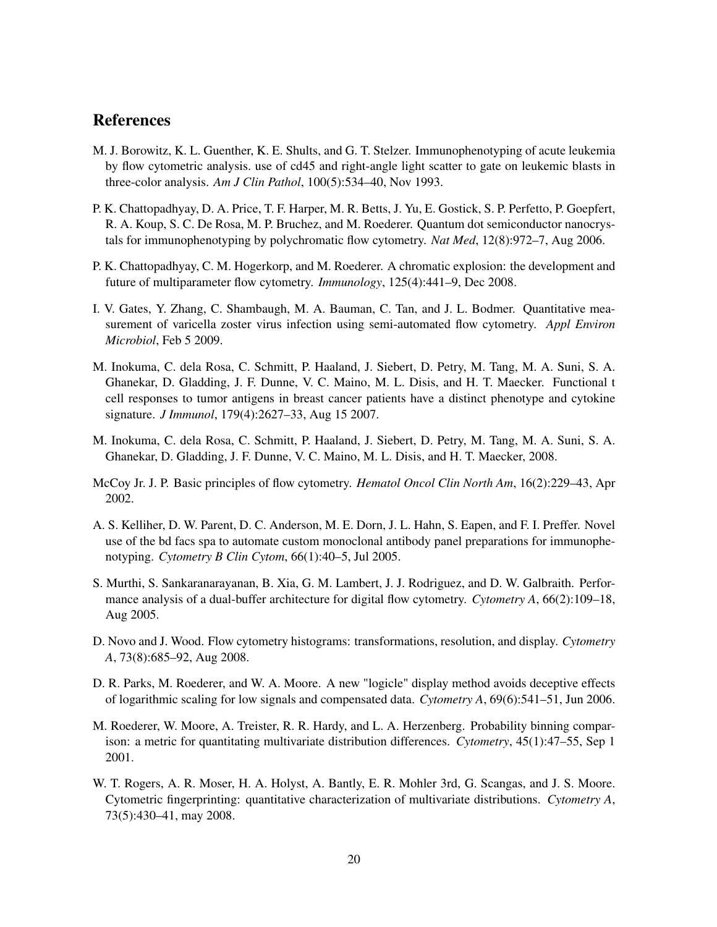### References

- <span id="page-19-8"></span>M. J. Borowitz, K. L. Guenther, K. E. Shults, and G. T. Stelzer. Immunophenotyping of acute leukemia by flow cytometric analysis. use of cd45 and right-angle light scatter to gate on leukemic blasts in three-color analysis. *Am J Clin Pathol*, 100(5):534–40, Nov 1993.
- <span id="page-19-5"></span>P. K. Chattopadhyay, D. A. Price, T. F. Harper, M. R. Betts, J. Yu, E. Gostick, S. P. Perfetto, P. Goepfert, R. A. Koup, S. C. De Rosa, M. P. Bruchez, and M. Roederer. Quantum dot semiconductor nanocrystals for immunophenotyping by polychromatic flow cytometry. *Nat Med*, 12(8):972–7, Aug 2006.
- <span id="page-19-0"></span>P. K. Chattopadhyay, C. M. Hogerkorp, and M. Roederer. A chromatic explosion: the development and future of multiparameter flow cytometry. *Immunology*, 125(4):441–9, Dec 2008.
- <span id="page-19-4"></span>I. V. Gates, Y. Zhang, C. Shambaugh, M. A. Bauman, C. Tan, and J. L. Bodmer. Quantitative measurement of varicella zoster virus infection using semi-automated flow cytometry. *Appl Environ Microbiol*, Feb 5 2009.
- <span id="page-19-9"></span>M. Inokuma, C. dela Rosa, C. Schmitt, P. Haaland, J. Siebert, D. Petry, M. Tang, M. A. Suni, S. A. Ghanekar, D. Gladding, J. F. Dunne, V. C. Maino, M. L. Disis, and H. T. Maecker. Functional t cell responses to tumor antigens in breast cancer patients have a distinct phenotype and cytokine signature. *J Immunol*, 179(4):2627–33, Aug 15 2007.
- <span id="page-19-10"></span>M. Inokuma, C. dela Rosa, C. Schmitt, P. Haaland, J. Siebert, D. Petry, M. Tang, M. A. Suni, S. A. Ghanekar, D. Gladding, J. F. Dunne, V. C. Maino, M. L. Disis, and H. T. Maecker, 2008.
- <span id="page-19-1"></span>McCoy Jr. J. P. Basic principles of flow cytometry. *Hematol Oncol Clin North Am*, 16(2):229–43, Apr 2002.
- <span id="page-19-3"></span>A. S. Kelliher, D. W. Parent, D. C. Anderson, M. E. Dorn, J. L. Hahn, S. Eapen, and F. I. Preffer. Novel use of the bd facs spa to automate custom monoclonal antibody panel preparations for immunophenotyping. *Cytometry B Clin Cytom*, 66(1):40–5, Jul 2005.
- <span id="page-19-2"></span>S. Murthi, S. Sankaranarayanan, B. Xia, G. M. Lambert, J. J. Rodriguez, and D. W. Galbraith. Performance analysis of a dual-buffer architecture for digital flow cytometry. *Cytometry A*, 66(2):109–18, Aug 2005.
- <span id="page-19-12"></span>D. Novo and J. Wood. Flow cytometry histograms: transformations, resolution, and display. *Cytometry A*, 73(8):685–92, Aug 2008.
- <span id="page-19-11"></span>D. R. Parks, M. Roederer, and W. A. Moore. A new "logicle" display method avoids deceptive effects of logarithmic scaling for low signals and compensated data. *Cytometry A*, 69(6):541–51, Jun 2006.
- <span id="page-19-6"></span>M. Roederer, W. Moore, A. Treister, R. R. Hardy, and L. A. Herzenberg. Probability binning comparison: a metric for quantitating multivariate distribution differences. *Cytometry*, 45(1):47–55, Sep 1 2001.
- <span id="page-19-7"></span>W. T. Rogers, A. R. Moser, H. A. Holyst, A. Bantly, E. R. Mohler 3rd, G. Scangas, and J. S. Moore. Cytometric fingerprinting: quantitative characterization of multivariate distributions. *Cytometry A*, 73(5):430–41, may 2008.